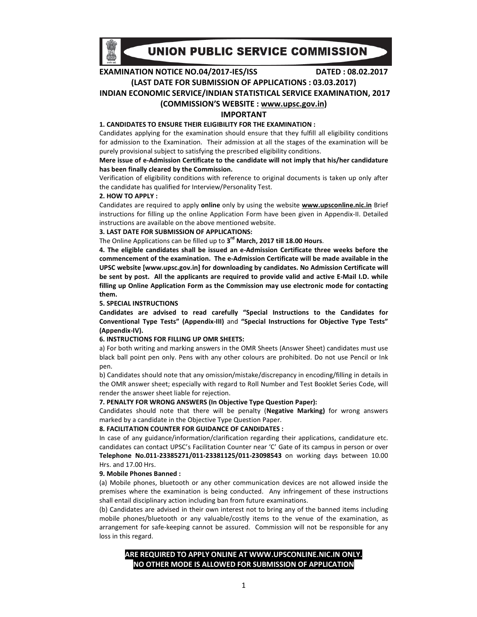

# UNION PUBLIC SERVICE COMMISSION

**EXAMINATION NOTICE NO.04/2017-IES/ISS DATED : 08.02.2017** 

**(LAST DATE FOR SUBMISSION OF APPLICATIONS : 03.03.2017)** 

**INDIAN ECONOMIC SERVICE/INDIAN STATISTICAL SERVICE EXAMINATION, 2017** 

### **(COMMISSION'S WEBSITE : www.upsc.gov.in)**

### **IMPORTANT**

# **1. CANDIDATES TO ENSURE THEIR ELIGIBILITY FOR THE EXAMINATION :**

Candidates applying for the examination should ensure that they fulfill all eligibility conditions for admission to the Examination. Their admission at all the stages of the examination will be purely provisional subject to satisfying the prescribed eligibility conditions.

### **Mere issue of e-Admission Certificate to the candidate will not imply that his/her candidature has been finally cleared by the Commission.**

Verification of eligibility conditions with reference to original documents is taken up only after the candidate has qualified for Interview/Personality Test.

#### **2. HOW TO APPLY :**

Candidates are required to apply **online** only by using the website **www.upsconline.nic.in** Brief instructions for filling up the online Application Form have been given in Appendix-II. Detailed instructions are available on the above mentioned website.

### **3. LAST DATE FOR SUBMISSION OF APPLICATIONS:**

The Online Applications can be filled up to **3 rd March, 2017 till 18.00 Hours**.

**4. The eligible candidates shall be issued an e-Admission Certificate three weeks before the commencement of the examination. The e-Admission Certificate will be made available in the UPSC website [www.upsc.gov.in] for downloading by candidates. No Admission Certificate will be sent by post. All the applicants are required to provide valid and active E-Mail I.D. while filling up Online Application Form as the Commission may use electronic mode for contacting them.** 

#### **5. SPECIAL INSTRUCTIONS**

**Candidates are advised to read carefully "Special Instructions to the Candidates for Conventional Type Tests" (Appendix-III)** and **"Special Instructions for Objective Type Tests" (Appendix-IV).** 

### **6. INSTRUCTIONS FOR FILLING UP OMR SHEETS:**

a) For both writing and marking answers in the OMR Sheets (Answer Sheet) candidates must use black ball point pen only. Pens with any other colours are prohibited. Do not use Pencil or Ink pen.

b) Candidates should note that any omission/mistake/discrepancy in encoding/filling in details in the OMR answer sheet; especially with regard to Roll Number and Test Booklet Series Code, will render the answer sheet liable for rejection.

#### **7. PENALTY FOR WRONG ANSWERS (In Objective Type Question Paper):**

Candidates should note that there will be penalty (**Negative Marking)** for wrong answers marked by a candidate in the Objective Type Question Paper.

#### **8. FACILITATION COUNTER FOR GUIDANCE OF CANDIDATES :**

In case of any guidance/information/clarification regarding their applications, candidature etc. candidates can contact UPSC's Facilitation Counter near 'C' Gate of its campus in person or over **Telephone No.011-23385271/011-23381125/011-23098543** on working days between 10.00 Hrs. and 17.00 Hrs.

#### **9. Mobile Phones Banned :**

(a) Mobile phones, bluetooth or any other communication devices are not allowed inside the premises where the examination is being conducted. Any infringement of these instructions shall entail disciplinary action including ban from future examinations.

(b) Candidates are advised in their own interest not to bring any of the banned items including mobile phones/bluetooth or any valuable/costly items to the venue of the examination, as arrangement for safe-keeping cannot be assured. Commission will not be responsible for any loss in this regard.

# **ARE REQUIRED TO APPLY ONLINE AT WWW.UPSCONLINE.NIC.IN ONLY. NO OTHER MODE IS ALLOWED FOR SUBMISSION OF APPLICATION**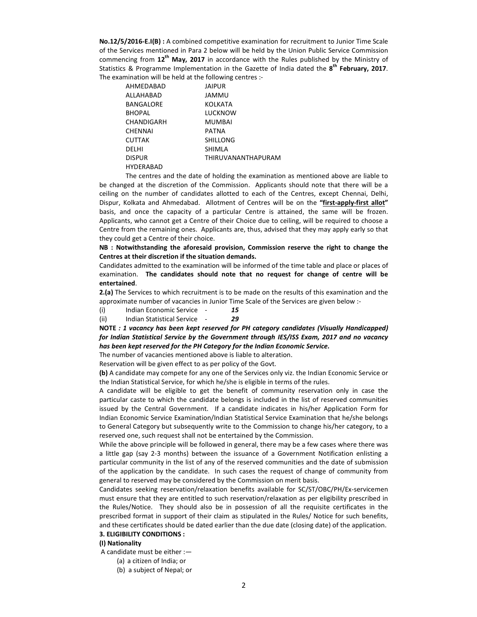**No.12/5/2016-E.I(B) :** A combined competitive examination for recruitment to Junior Time Scale of the Services mentioned in Para 2 below will be held by the Union Public Service Commission commencing from **12th May, 2017** in accordance with the Rules published by the Ministry of Statistics & Programme Implementation in the Gazette of India dated the **8 th February, 2017**. The examination will be held at the following centres :-

| AHMEDABAD        | <b>JAIPUR</b>             |
|------------------|---------------------------|
| ALLAHABAD        | JAMMU                     |
| BANGALORE        | KOLKATA                   |
| <b>BHOPAL</b>    | LUCKNOW                   |
| CHANDIGARH       | <b>MUMBAI</b>             |
| <b>CHENNAI</b>   | PATNA                     |
| <b>CUTTAK</b>    | <b>SHILLONG</b>           |
| DELHI            | SHIMLA                    |
| <b>DISPUR</b>    | <b>THIRUVANANTHAPURAM</b> |
| <b>HYDFRARAD</b> |                           |

The centres and the date of holding the examination as mentioned above are liable to be changed at the discretion of the Commission. Applicants should note that there will be a ceiling on the number of candidates allotted to each of the Centres, except Chennai, Delhi, Dispur, Kolkata and Ahmedabad. Allotment of Centres will be on the **"first-apply-first allot"**  basis, and once the capacity of a particular Centre is attained, the same will be frozen. Applicants, who cannot get a Centre of their Choice due to ceiling, will be required to choose a Centre from the remaining ones. Applicants are, thus, advised that they may apply early so that they could get a Centre of their choice.

**NB : Notwithstanding the aforesaid provision, Commission reserve the right to change the Centres at their discretion if the situation demands.** 

Candidates admitted to the examination will be informed of the time table and place or places of examination. **The candidates should note that no request for change of centre will be entertained**.

**2.(a)** The Services to which recruitment is to be made on the results of this examination and the approximate number of vacancies in Junior Time Scale of the Services are given below :-

(i) Indian Economic Service - *15*

(ii) Indian Statistical Service - *29* 

**NOTE** *: 1 vacancy has been kept reserved for PH category candidates (Visually Handicapped) for Indian Statistical Service by the Government through IES/ISS Exam, 2017 and no vacancy has been kept reserved for the PH Category for the Indian Economic Service.* 

The number of vacancies mentioned above is liable to alteration.

Reservation will be given effect to as per policy of the Govt.

**(b)** A candidate may compete for any one of the Services only viz. the Indian Economic Service or the Indian Statistical Service, for which he/she is eligible in terms of the rules.

A candidate will be eligible to get the benefit of community reservation only in case the particular caste to which the candidate belongs is included in the list of reserved communities issued by the Central Government. If a candidate indicates in his/her Application Form for Indian Economic Service Examination/Indian Statistical Service Examination that he/she belongs to General Category but subsequently write to the Commission to change his/her category, to a reserved one, such request shall not be entertained by the Commission.

While the above principle will be followed in general, there may be a few cases where there was a little gap (say 2-3 months) between the issuance of a Government Notification enlisting a particular community in the list of any of the reserved communities and the date of submission of the application by the candidate. In such cases the request of change of community from general to reserved may be considered by the Commission on merit basis.

Candidates seeking reservation/relaxation benefits available for SC/ST/OBC/PH/Ex-servicemen must ensure that they are entitled to such reservation/relaxation as per eligibility prescribed in the Rules/Notice. They should also be in possession of all the requisite certificates in the prescribed format in support of their claim as stipulated in the Rules/ Notice for such benefits, and these certificates should be dated earlier than the due date (closing date) of the application.

#### **3. ELIGIBILITY CONDITIONS :**

### **(I) Nationality**

A candidate must be either :—

(a) a citizen of India; or

(b) a subject of Nepal; or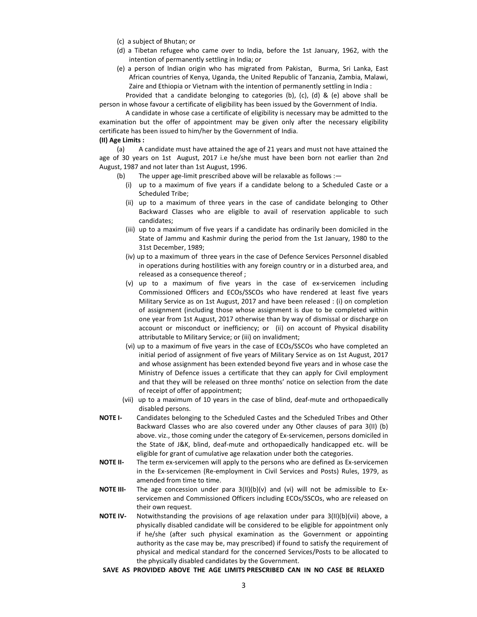- (c) a subject of Bhutan; or
- (d) a Tibetan refugee who came over to India, before the 1st January, 1962, with the intention of permanently settling in India; or
- (e) a person of Indian origin who has migrated from Pakistan, Burma, Sri Lanka, East African countries of Kenya, Uganda, the United Republic of Tanzania, Zambia, Malawi, Zaire and Ethiopia or Vietnam with the intention of permanently settling in India :

 Provided that a candidate belonging to categories (b), (c), (d) & (e) above shall be person in whose favour a certificate of eligibility has been issued by the Government of India.

 A candidate in whose case a certificate of eligibility is necessary may be admitted to the examination but the offer of appointment may be given only after the necessary eligibility certificate has been issued to him/her by the Government of India.

### **(II) Age Limits :**

 (a) A candidate must have attained the age of 21 years and must not have attained the age of 30 years on 1st August, 2017 i.e he/she must have been born not earlier than 2nd August, 1987 and not later than 1st August, 1996.

- (b) The upper age-limit prescribed above will be relaxable as follows :—
	- (i) up to a maximum of five years if a candidate belong to a Scheduled Caste or a Scheduled Tribe;
	- (ii) up to a maximum of three years in the case of candidate belonging to Other Backward Classes who are eligible to avail of reservation applicable to such candidates;
	- (iii) up to a maximum of five years if a candidate has ordinarily been domiciled in the State of Jammu and Kashmir during the period from the 1st January, 1980 to the 31st December, 1989;
	- (iv) up to a maximum of three years in the case of Defence Services Personnel disabled in operations during hostilities with any foreign country or in a disturbed area, and released as a consequence thereof ;
	- (v) up to a maximum of five years in the case of ex-servicemen including Commissioned Officers and ECOs/SSCOs who have rendered at least five years Military Service as on 1st August, 2017 and have been released : (i) on completion of assignment (including those whose assignment is due to be completed within one year from 1st August, 2017 otherwise than by way of dismissal or discharge on account or misconduct or inefficiency; or (ii) on account of Physical disability attributable to Military Service; or (iii) on invalidment;
	- (vi) up to a maximum of five years in the case of ECOs/SSCOs who have completed an initial period of assignment of five years of Military Service as on 1st August, 2017 and whose assignment has been extended beyond five years and in whose case the Ministry of Defence issues a certificate that they can apply for Civil employment and that they will be released on three months' notice on selection from the date of receipt of offer of appointment;
	- (vii) up to a maximum of 10 years in the case of blind, deaf-mute and orthopaedically disabled persons.
- **NOTE I-** Candidates belonging to the Scheduled Castes and the Scheduled Tribes and Other Backward Classes who are also covered under any Other clauses of para 3(II) (b) above. viz., those coming under the category of Ex-servicemen, persons domiciled in the State of J&K, blind, deaf-mute and orthopaedically handicapped etc. will be eligible for grant of cumulative age relaxation under both the categories.
- **NOTE II-** The term ex-servicemen will apply to the persons who are defined as Ex-servicemen in the Ex-servicemen (Re-employment in Civil Services and Posts) Rules, 1979, as amended from time to time.
- **NOTE III-** The age concession under para 3(II)(b)(v) and (vi) will not be admissible to Exservicemen and Commissioned Officers including ECOs/SSCOs, who are released on their own request.
- **NOTE IV-** Notwithstanding the provisions of age relaxation under para 3(II)(b)(vii) above, a physically disabled candidate will be considered to be eligible for appointment only if he/she (after such physical examination as the Government or appointing authority as the case may be, may prescribed) if found to satisfy the requirement of physical and medical standard for the concerned Services/Posts to be allocated to the physically disabled candidates by the Government.
- **SAVE AS PROVIDED ABOVE THE AGE LIMITS PRESCRIBED CAN IN NO CASE BE RELAXED**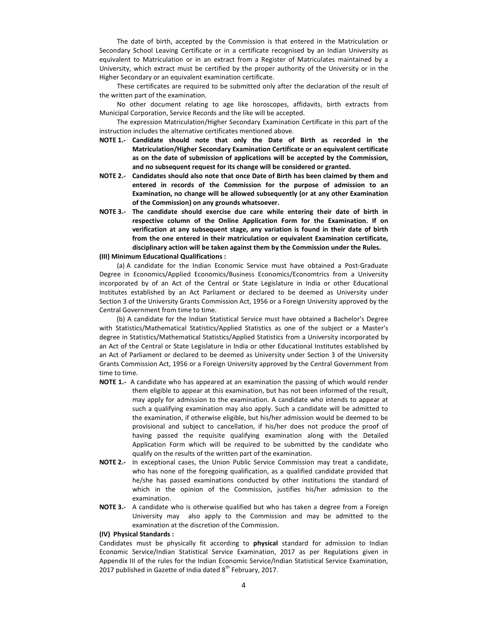The date of birth, accepted by the Commission is that entered in the Matriculation or Secondary School Leaving Certificate or in a certificate recognised by an Indian University as equivalent to Matriculation or in an extract from a Register of Matriculates maintained by a University, which extract must be certified by the proper authority of the University or in the Higher Secondary or an equivalent examination certificate.

 These certificates are required to be submitted only after the declaration of the result of the written part of the examination.

 No other document relating to age like horoscopes, affidavits, birth extracts from Municipal Corporation, Service Records and the like will be accepted.

 The expression Matriculation/Higher Secondary Examination Certificate in this part of the instruction includes the alternative certificates mentioned above.

- **NOTE 1.- Candidate should note that only the Date of Birth as recorded in the Matriculation/Higher Secondary Examination Certificate or an equivalent certificate as on the date of submission of applications will be accepted by the Commission, and no subsequent request for its change will be considered or granted.**
- **NOTE 2.- Candidates should also note that once Date of Birth has been claimed by them and entered in records of the Commission for the purpose of admission to an Examination, no change will be allowed subsequently (or at any other Examination of the Commission) on any grounds whatsoever.**
- **NOTE 3.- The candidate should exercise due care while entering their date of birth in respective column of the Online Application Form for the Examination. If on verification at any subsequent stage, any variation is found in their date of birth from the one entered in their matriculation or equivalent Examination certificate, disciplinary action will be taken against them by the Commission under the Rules.**

### **(III) Minimum Educational Qualifications :**

 (a) A candidate for the Indian Economic Service must have obtained a Post-Graduate Degree in Economics/Applied Economics/Business Economics/Economtrics from a University incorporated by of an Act of the Central or State Legislature in India or other Educational Institutes established by an Act Parliament or declared to be deemed as University under Section 3 of the University Grants Commission Act, 1956 or a Foreign University approved by the Central Government from time to time.

 (b) A candidate for the Indian Statistical Service must have obtained a Bachelor's Degree with Statistics/Mathematical Statistics/Applied Statistics as one of the subject or a Master's degree in Statistics/Mathematical Statistics/Applied Statistics from a University incorporated by an Act of the Central or State Legislature in India or other Educational Institutes established by an Act of Parliament or declared to be deemed as University under Section 3 of the University Grants Commission Act, 1956 or a Foreign University approved by the Central Government from time to time.

- **NOTE 1.-** A candidate who has appeared at an examination the passing of which would render them eligible to appear at this examination, but has not been informed of the result, may apply for admission to the examination. A candidate who intends to appear at such a qualifying examination may also apply. Such a candidate will be admitted to the examination, if otherwise eligible, but his/her admission would be deemed to be provisional and subject to cancellation, if his/her does not produce the proof of having passed the requisite qualifying examination along with the Detailed Application Form which will be required to be submitted by the candidate who qualify on the results of the written part of the examination.
- **NOTE 2.-** In exceptional cases, the Union Public Service Commission may treat a candidate, who has none of the foregoing qualification, as a qualified candidate provided that he/she has passed examinations conducted by other institutions the standard of which in the opinion of the Commission, justifies his/her admission to the examination.
- **NOTE 3.-** A candidate who is otherwise qualified but who has taken a degree from a Foreign University may also apply to the Commission and may be admitted to the examination at the discretion of the Commission.

#### **(IV) Physical Standards :**

Candidates must be physically fit according to **physical** standard for admission to Indian Economic Service/Indian Statistical Service Examination, 2017 as per Regulations given in Appendix III of the rules for the Indian Economic Service/Indian Statistical Service Examination, 2017 published in Gazette of India dated  $8<sup>th</sup>$  February, 2017.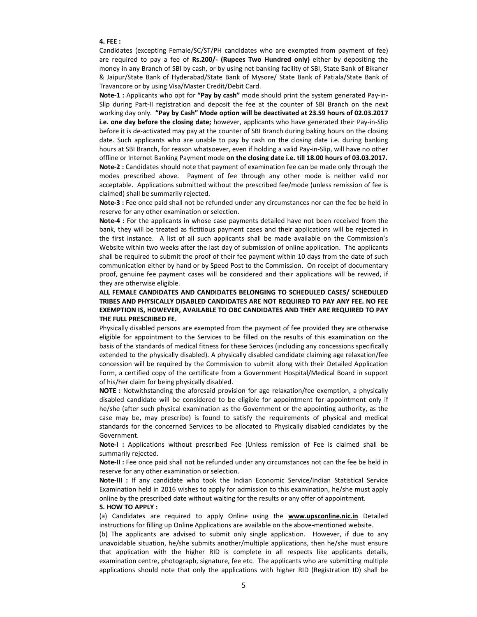### **4. FEE :**

Candidates (excepting Female/SC/ST/PH candidates who are exempted from payment of fee) are required to pay a fee of **Rs.200/- (Rupees Two Hundred only)** either by depositing the money in any Branch of SBI by cash, or by using net banking facility of SBI, State Bank of Bikaner & Jaipur/State Bank of Hyderabad/State Bank of Mysore/ State Bank of Patiala/State Bank of Travancore or by using Visa/Master Credit/Debit Card.

**Note-1 :** Applicants who opt for **"Pay by cash"** mode should print the system generated Pay-in-Slip during Part-II registration and deposit the fee at the counter of SBI Branch on the next working day only. **"Pay by Cash" Mode option will be deactivated at 23.59 hours of 02.03.2017 i.e. one day before the closing date;** however, applicants who have generated their Pay-in-Slip before it is de-activated may pay at the counter of SBI Branch during baking hours on the closing date. Such applicants who are unable to pay by cash on the closing date i.e. during banking hours at SBI Branch, for reason whatsoever, even if holding a valid Pay-in-Slip, will have no other offline or Internet Banking Payment mode **on the closing date i.e. till 18.00 hours of 03.03.2017. Note-2 :** Candidates should note that payment of examination fee can be made only through the modes prescribed above.Payment of fee through any other mode is neither valid nor acceptable. Applications submitted without the prescribed fee/mode (unless remission of fee is

claimed) shall be summarily rejected.

**Note-3 :** Fee once paid shall not be refunded under any circumstances nor can the fee be held in reserve for any other examination or selection.

**Note-4 :** For the applicants in whose case payments detailed have not been received from the bank, they will be treated as fictitious payment cases and their applications will be rejected in the first instance. A list of all such applicants shall be made available on the Commission's Website within two weeks after the last day of submission of online application. The applicants shall be required to submit the proof of their fee payment within 10 days from the date of such communication either by hand or by Speed Post to the Commission. On receipt of documentary proof, genuine fee payment cases will be considered and their applications will be revived, if they are otherwise eligible.

## **ALL FEMALE CANDIDATES AND CANDIDATES BELONGING TO SCHEDULED CASES/ SCHEDULED TRIBES AND PHYSICALLY DISABLED CANDIDATES ARE NOT REQUIRED TO PAY ANY FEE. NO FEE EXEMPTION IS, HOWEVER, AVAILABLE TO OBC CANDIDATES AND THEY ARE REQUIRED TO PAY THE FULL PRESCRIBED FE.**

Physically disabled persons are exempted from the payment of fee provided they are otherwise eligible for appointment to the Services to be filled on the results of this examination on the basis of the standards of medical fitness for these Services (including any concessions specifically extended to the physically disabled). A physically disabled candidate claiming age relaxation/fee concession will be required by the Commission to submit along with their Detailed Application Form, a certified copy of the certificate from a Government Hospital/Medical Board in support of his/her claim for being physically disabled.

**NOTE :** Notwithstanding the aforesaid provision for age relaxation/fee exemption, a physically disabled candidate will be considered to be eligible for appointment for appointment only if he/she (after such physical examination as the Government or the appointing authority, as the case may be, may prescribe) is found to satisfy the requirements of physical and medical standards for the concerned Services to be allocated to Physically disabled candidates by the Government.

**Note-I :** Applications without prescribed Fee (Unless remission of Fee is claimed shall be summarily rejected.

**Note-II :** Fee once paid shall not be refunded under any circumstances not can the fee be held in reserve for any other examination or selection.

**Note-III :** If any candidate who took the Indian Economic Service/Indian Statistical Service Examination held in 2016 wishes to apply for admission to this examination, he/she must apply online by the prescribed date without waiting for the results or any offer of appointment.

#### **5. HOW TO APPLY :**

(a) Candidates are required to apply Online using the **www.upsconline.nic.in** Detailed instructions for filling up Online Applications are available on the above-mentioned website.

(b) The applicants are advised to submit only single application. However, if due to any unavoidable situation, he/she submits another/multiple applications, then he/she must ensure that application with the higher RID is complete in all respects like applicants details, examination centre, photograph, signature, fee etc. The applicants who are submitting multiple applications should note that only the applications with higher RID (Registration ID) shall be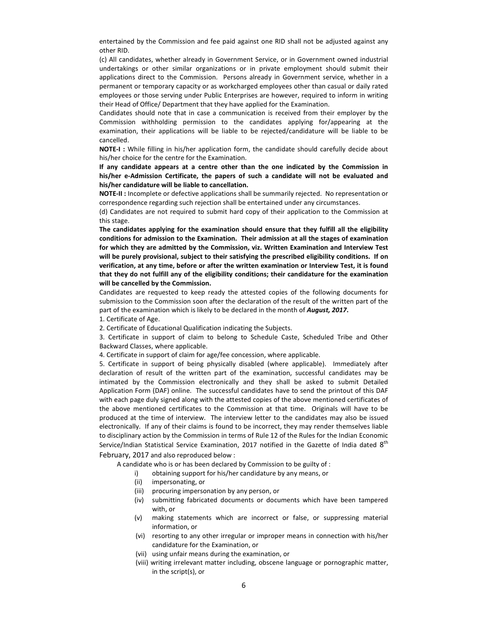entertained by the Commission and fee paid against one RID shall not be adjusted against any other RID.

(c) All candidates, whether already in Government Service, or in Government owned industrial undertakings or other similar organizations or in private employment should submit their applications direct to the Commission. Persons already in Government service, whether in a permanent or temporary capacity or as workcharged employees other than casual or daily rated employees or those serving under Public Enterprises are however, required to inform in writing their Head of Office/ Department that they have applied for the Examination.

Candidates should note that in case a communication is received from their employer by the Commission withholding permission to the candidates applying for/appearing at the examination, their applications will be liable to be rejected/candidature will be liable to be cancelled.

**NOTE-I :** While filling in his/her application form, the candidate should carefully decide about his/her choice for the centre for the Examination.

**If any candidate appears at a centre other than the one indicated by the Commission in his/her e-Admission Certificate, the papers of such a candidate will not be evaluated and his/her candidature will be liable to cancellation.**

**NOTE-II :** Incomplete or defective applications shall be summarily rejected. No representation or correspondence regarding such rejection shall be entertained under any circumstances.

(d) Candidates are not required to submit hard copy of their application to the Commission at this stage.

**The candidates applying for the examination should ensure that they fulfill all the eligibility conditions for admission to the Examination. Their admission at all the stages of examination for which they are admitted by the Commission, viz. Written Examination and Interview Test will be purely provisional, subject to their satisfying the prescribed eligibility conditions. If on verification, at any time, before or after the written examination or Interview Test, it is found that they do not fulfill any of the eligibility conditions; their candidature for the examination will be cancelled by the Commission.**

Candidates are requested to keep ready the attested copies of the following documents for submission to the Commission soon after the declaration of the result of the written part of the part of the examination which is likely to be declared in the month of *August, 2017***.** 

### 1. Certificate of Age.

2. Certificate of Educational Qualification indicating the Subjects.

3. Certificate in support of claim to belong to Schedule Caste, Scheduled Tribe and Other Backward Classes, where applicable.

4. Certificate in support of claim for age/fee concession, where applicable.

5. Certificate in support of being physically disabled (where applicable). Immediately after declaration of result of the written part of the examination, successful candidates may be intimated by the Commission electronically and they shall be asked to submit Detailed Application Form (DAF) online. The successful candidates have to send the printout of this DAF with each page duly signed along with the attested copies of the above mentioned certificates of the above mentioned certificates to the Commission at that time. Originals will have to be produced at the time of interview. The interview letter to the candidates may also be issued electronically. If any of their claims is found to be incorrect, they may render themselves liable to disciplinary action by the Commission in terms of Rule 12 of the Rules for the Indian Economic Service/Indian Statistical Service Examination, 2017 notified in the Gazette of India dated  $8^{\rm th}$ February, 2017 and also reproduced below :

A candidate who is or has been declared by Commission to be guilty of :

- i) obtaining support for his/her candidature by any means, or
- (ii) impersonating, or
- (iii) procuring impersonation by any person, or
- (iv) submitting fabricated documents or documents which have been tampered with, or
- (v) making statements which are incorrect or false, or suppressing material information, or
- (vi) resorting to any other irregular or improper means in connection with his/her candidature for the Examination, or
- (vii) using unfair means during the examination, or
- (viii) writing irrelevant matter including, obscene language or pornographic matter, in the script(s), or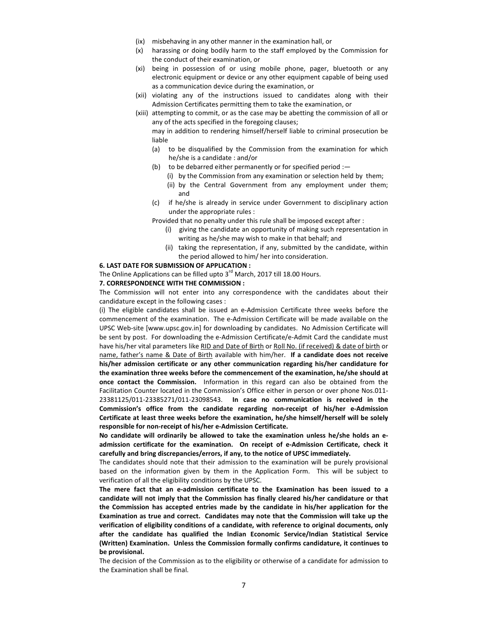- (ix) misbehaving in any other manner in the examination hall, or
- (x) harassing or doing bodily harm to the staff employed by the Commission for the conduct of their examination, or
- (xi) being in possession of or using mobile phone, pager, bluetooth or any electronic equipment or device or any other equipment capable of being used as a communication device during the examination, or
- (xii) violating any of the instructions issued to candidates along with their Admission Certificates permitting them to take the examination, or
- (xiii) attempting to commit, or as the case may be abetting the commission of all or any of the acts specified in the foregoing clauses;

may in addition to rendering himself/herself liable to criminal prosecution be liable

- (a) to be disqualified by the Commission from the examination for which he/she is a candidate : and/or
- (b) to be debarred either permanently or for specified period :—
	- (i) by the Commission from any examination or selection held by them;
	- (ii) by the Central Government from any employment under them; and
- (c) if he/she is already in service under Government to disciplinary action under the appropriate rules :

Provided that no penalty under this rule shall be imposed except after :

- (i) giving the candidate an opportunity of making such representation in writing as he/she may wish to make in that behalf; and
- (ii) taking the representation, if any, submitted by the candidate, within the period allowed to him/ her into consideration.

### **6. LAST DATE FOR SUBMISSION OF APPLICATION :**

The Online Applications can be filled upto  $3<sup>rd</sup>$  March, 2017 till 18.00 Hours.

#### **7. CORRESPONDENCE WITH THE COMMISSION :**

The Commission will not enter into any correspondence with the candidates about their candidature except in the following cases :

(i) The eligible candidates shall be issued an e-Admission Certificate three weeks before the commencement of the examination. The e-Admission Certificate will be made available on the UPSC Web-site [www.upsc.gov.in] for downloading by candidates. No Admission Certificate will be sent by post. For downloading the e-Admission Certificate/e-Admit Card the candidate must have his/her vital parameters like RID and Date of Birth or Roll No. (if received) & date of birth or name, father's name & Date of Birth available with him/her. **If a candidate does not receive his/her admission certificate or any other communication regarding his/her candidature for the examination three weeks before the commencement of the examination, he/she should at once contact the Commission.** Information in this regard can also be obtained from the Facilitation Counter located in the Commission's Office either in person or over phone Nos.011- 23381125/011-23385271/011-23098543. **In case no communication is received in the Commission's office from the candidate regarding non-receipt of his/her e-Admission Certificate at least three weeks before the examination, he/she himself/herself will be solely responsible for non-receipt of his/her e-Admission Certificate.** 

**No candidate will ordinarily be allowed to take the examination unless he/she holds an eadmission certificate for the examination. On receipt of e-Admission Certificate, check it carefully and bring discrepancies/errors, if any, to the notice of UPSC immediately.** 

The candidates should note that their admission to the examination will be purely provisional based on the information given by them in the Application Form. This will be subject to verification of all the eligibility conditions by the UPSC.

**The mere fact that an e-admission certificate to the Examination has been issued to a candidate will not imply that the Commission has finally cleared his/her candidature or that the Commission has accepted entries made by the candidate in his/her application for the Examination as true and correct. Candidates may note that the Commission will take up the verification of eligibility conditions of a candidate, with reference to original documents, only after the candidate has qualified the Indian Economic Service/Indian Statistical Service (Written) Examination. Unless the Commission formally confirms candidature, it continues to be provisional.** 

The decision of the Commission as to the eligibility or otherwise of a candidate for admission to the Examination shall be final.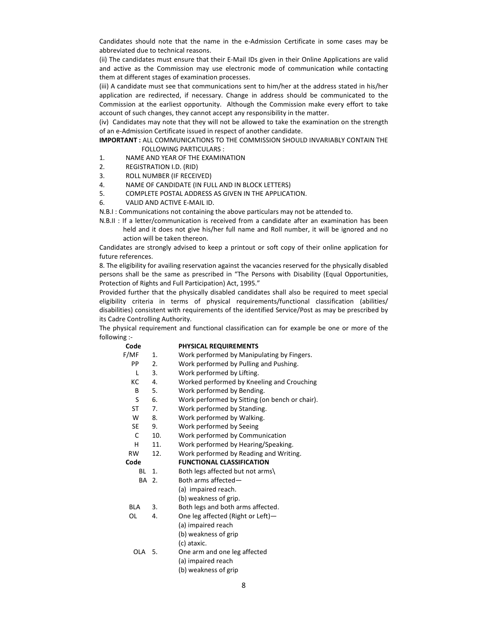Candidates should note that the name in the e-Admission Certificate in some cases may be abbreviated due to technical reasons.

(ii) The candidates must ensure that their E-Mail IDs given in their Online Applications are valid and active as the Commission may use electronic mode of communication while contacting them at different stages of examination processes.

(iii) A candidate must see that communications sent to him/her at the address stated in his/her application are redirected, if necessary. Change in address should be communicated to the Commission at the earliest opportunity. Although the Commission make every effort to take account of such changes, they cannot accept any responsibility in the matter.

(iv) Candidates may note that they will not be allowed to take the examination on the strength of an e-Admission Certificate issued in respect of another candidate.

**IMPORTANT :** ALL COMMUNICATIONS TO THE COMMISSION SHOULD INVARIABLY CONTAIN THE FOLLOWING PARTICULARS :

- 1. NAME AND YEAR OF THE EXAMINATION
- 2. REGISTRATION I.D. (RID)
- 3. ROLL NUMBER (IF RECEIVED)
- 4. NAME OF CANDIDATE (IN FULL AND IN BLOCK LETTERS)

Code **PHYSICAL REQUIREMENTS** 

- 5. COMPLETE POSTAL ADDRESS AS GIVEN IN THE APPLICATION.
- 6. VALID AND ACTIVE E-MAIL ID.

N.B.I : Communications not containing the above particulars may not be attended to.

N.B.II : If a letter/communication is received from a candidate after an examination has been held and it does not give his/her full name and Roll number, it will be ignored and no action will be taken thereon.

Candidates are strongly advised to keep a printout or soft copy of their online application for future references.

8. The eligibility for availing reservation against the vacancies reserved for the physically disabled persons shall be the same as prescribed in "The Persons with Disability (Equal Opportunities, Protection of Rights and Full Participation) Act, 1995."

Provided further that the physically disabled candidates shall also be required to meet special eligibility criteria in terms of physical requirements/functional classification (abilities/ disabilities) consistent with requirements of the identified Service/Post as may be prescribed by its Cadre Controlling Authority.

The physical requirement and functional classification can for example be one or more of the following :-

| coue             |                | PULJICAL NEQUINEIVIEIVI J                      |  |  |  |  |  |
|------------------|----------------|------------------------------------------------|--|--|--|--|--|
| F/MF             | 1.             | Work performed by Manipulating by Fingers.     |  |  |  |  |  |
| PP               | 2.             | Work performed by Pulling and Pushing.         |  |  |  |  |  |
| L                | 3.             | Work performed by Lifting.                     |  |  |  |  |  |
| КC               | 4.             | Worked performed by Kneeling and Crouching     |  |  |  |  |  |
| B                | 5.             | Work performed by Bending.                     |  |  |  |  |  |
| S                | 6.             | Work performed by Sitting (on bench or chair). |  |  |  |  |  |
| ST               | 7.             | Work performed by Standing.                    |  |  |  |  |  |
| W                | 8.             | Work performed by Walking.                     |  |  |  |  |  |
| <b>SE</b>        | 9.             | Work performed by Seeing                       |  |  |  |  |  |
| C                | 10.            | Work performed by Communication                |  |  |  |  |  |
| н                | 11.            | Work performed by Hearing/Speaking.            |  |  |  |  |  |
| <b>RW</b>        | 12.            | Work performed by Reading and Writing.         |  |  |  |  |  |
| Code             |                | <b>FUNCTIONAL CLASSIFICATION</b>               |  |  |  |  |  |
| BL               | $\mathbf{1}$ . | Both legs affected but not arms\               |  |  |  |  |  |
| BA 2.            |                | Both arms affected-                            |  |  |  |  |  |
|                  |                | (a) impaired reach.                            |  |  |  |  |  |
|                  |                | (b) weakness of grip.                          |  |  |  |  |  |
| <b>BLA</b><br>3. |                | Both legs and both arms affected.              |  |  |  |  |  |
| OL               | 4.             | One leg affected (Right or Left)-              |  |  |  |  |  |
|                  |                | (a) impaired reach                             |  |  |  |  |  |
|                  |                | (b) weakness of grip                           |  |  |  |  |  |
|                  |                | (c) ataxic.                                    |  |  |  |  |  |
| OLA 5.           |                | One arm and one leg affected                   |  |  |  |  |  |
|                  |                | (a) impaired reach                             |  |  |  |  |  |
|                  |                | (b) weakness of grip                           |  |  |  |  |  |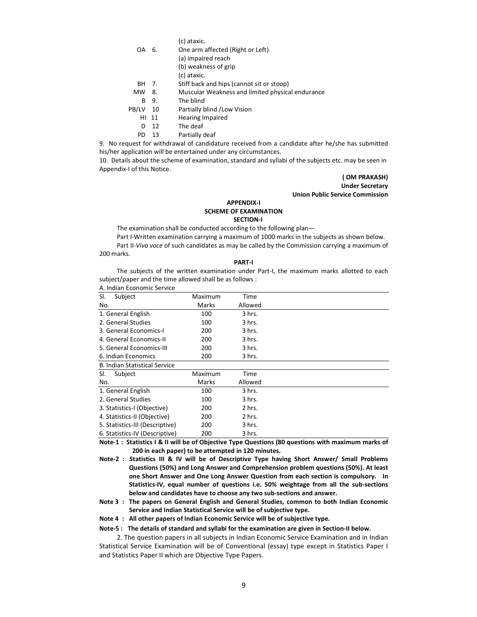(c) ataxic.

- OA 6. One arm affected (Right or Left)
	- (a) impaired reach
		- (b) weakness of grip
	- (c) ataxic.
- BH 7. Stiff back and hips (cannot sit or stoop)
- MW 8. Muscular Weakness and limited physical endurance
- B 9. The blind
- PB/LV 10 Partially blind /Low Vision
	- HI 11 Hearing Impaired
	- D 12 The deaf
	- PD 13 Partially deaf

9. No request for withdrawal of candidature received from a candidate after he/she has submitted his/her application will be entertained under any circumstances.

10. Details about the scheme of examination, standard and syllabi of the subjects etc. may be seen in Appendix-I of this Notice.

> **( OM PRAKASH) Under Secretary Union Public Service Commission**

# **APPENDIX-I SCHEME OF EXAMINATION**

 **SECTION-I**

The examination shall be conducted according to the following plan—

Part I-Written examination carrying a maximum of 1000 marks in the subjects as shown below.

 Part II-*Viva voce* of such candidates as may be called by the Commission carrying a maximum of 200 marks.

#### **PART-I**

 The subjects of the written examination under Part-I, the maximum marks allotted to each subject/paper and the time allowed shall be as follows :

| A. Indian Economic Service           |         |         |  |
|--------------------------------------|---------|---------|--|
| SI.<br>Subject                       | Maximum | Time    |  |
| No.                                  | Marks   | Allowed |  |
| 1. General English                   | 100     | 3 hrs.  |  |
| 2. General Studies                   | 100     | 3 hrs.  |  |
| 3. General Economics-I               | 200     | 3 hrs.  |  |
| 4. General Economics-II              | 200     | 3 hrs.  |  |
| 5. General Economics-III             | 200     | 3 hrs.  |  |
| 6. Indian Economics                  | 200     | 3 hrs.  |  |
| <b>B. Indian Statistical Service</b> |         |         |  |
| SI.<br>Subject                       | Maximum | Time    |  |
| No.                                  | Marks   | Allowed |  |
| 1. General English                   | 100     | 3 hrs.  |  |
| 2. General Studies                   | 100     | 3 hrs.  |  |
| 3. Statistics-I (Objective)          | 200     | 2 hrs.  |  |
| 4. Statistics-II (Objective)         | 200     | 2 hrs.  |  |
| 5. Statistics-III (Descriptive)      | 200     | 3 hrs.  |  |
| 6. Statistics-IV (Descriptive)       | 200     | 3 hrs.  |  |

**Note-1 : Statistics I & II will be of Objective Type Questions (80 questions with maximum marks of 200 in each paper) to be attempted in 120 minutes.** 

**Note-2 : Statistics III & IV will be of Descriptive Type having Short Answer/ Small Problems Questions (50%) and Long Answer and Comprehension problem questions (50%). At least one Short Answer and One Long Answer Question from each section is compulsory. In Statistics-IV, equal number of questions i.e. 50% weightage from all the sub-sections below and candidates have to choose any two sub-sections and answer.** 

**Note 3 : The papers on General English and General Studies, common to both Indian Economic Service and Indian Statistical Service will be of subjective type.** 

**Note 4 : All other papers of Indian Economic Service will be of subjective type.** 

**Note-5 : The details of standard and syllabi for the examination are given in Section-II below.** 

 2. The question papers in all subjects in Indian Economic Service Examination and in Indian Statistical Service Examination will be of Conventional (essay) type except in Statistics Paper I and Statistics Paper II which are Objective Type Papers.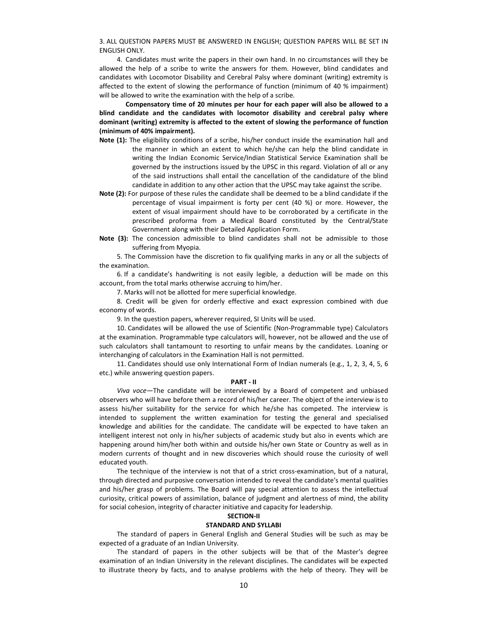3. ALL QUESTION PAPERS MUST BE ANSWERED IN ENGLISH; QUESTION PAPERS WILL BE SET IN ENGLISH ONLY.

 4. Candidates must write the papers in their own hand. In no circumstances will they be allowed the help of a scribe to write the answers for them. However, blind candidates and candidates with Locomotor Disability and Cerebral Palsy where dominant (writing) extremity is affected to the extent of slowing the performance of function (minimum of 40 % impairment) will be allowed to write the examination with the help of a scribe.

 **Compensatory time of 20 minutes per hour for each paper will also be allowed to a blind candidate and the candidates with locomotor disability and cerebral palsy where dominant (writing) extremity is affected to the extent of slowing the performance of function (minimum of 40% impairment).**

- **Note (1):** The eligibility conditions of a scribe, his/her conduct inside the examination hall and the manner in which an extent to which he/she can help the blind candidate in writing the Indian Economic Service/Indian Statistical Service Examination shall be governed by the instructions issued by the UPSC in this regard. Violation of all or any of the said instructions shall entail the cancellation of the candidature of the blind candidate in addition to any other action that the UPSC may take against the scribe.
- **Note (2):** For purpose of these rules the candidate shall be deemed to be a blind candidate if the percentage of visual impairment is forty per cent (40 %) or more. However, the extent of visual impairment should have to be corroborated by a certificate in the prescribed proforma from a Medical Board constituted by the Central/State Government along with their Detailed Application Form.
- **Note (3):** The concession admissible to blind candidates shall not be admissible to those suffering from Myopia.

 5. The Commission have the discretion to fix qualifying marks in any or all the subjects of the examination.

 6. If a candidate's handwriting is not easily legible, a deduction will be made on this account, from the total marks otherwise accruing to him/her.

7. Marks will not be allotted for mere superficial knowledge.

 8. Credit will be given for orderly effective and exact expression combined with due economy of words.

9. In the question papers, wherever required, SI Units will be used.

 10. Candidates will be allowed the use of Scientific (Non-Programmable type) Calculators at the examination. Programmable type calculators will, however, not be allowed and the use of such calculators shall tantamount to resorting to unfair means by the candidates. Loaning or interchanging of calculators in the Examination Hall is not permitted.

 11. Candidates should use only International Form of Indian numerals (e.g., 1, 2, 3, 4, 5, 6 etc.) while answering question papers.

#### **PART - II**

*Viva voce—*The candidate will be interviewed by a Board of competent and unbiased observers who will have before them a record of his/her career. The object of the interview is to assess his/her suitability for the service for which he/she has competed. The interview is intended to supplement the written examination for testing the general and specialised knowledge and abilities for the candidate. The candidate will be expected to have taken an intelligent interest not only in his/her subjects of academic study but also in events which are happening around him/her both within and outside his/her own State or Country as well as in modern currents of thought and in new discoveries which should rouse the curiosity of well educated youth.

 The technique of the interview is not that of a strict cross-examination, but of a natural, through directed and purposive conversation intended to reveal the candidate's mental qualities and his/her grasp of problems. The Board will pay special attention to assess the intellectual curiosity, critical powers of assimilation, balance of judgment and alertness of mind, the ability for social cohesion, integrity of character initiative and capacity for leadership.

# **SECTION-II**

### **STANDARD AND SYLLABI**

 The standard of papers in General English and General Studies will be such as may be expected of a graduate of an Indian University.

 The standard of papers in the other subjects will be that of the Master's degree examination of an Indian University in the relevant disciplines. The candidates will be expected to illustrate theory by facts, and to analyse problems with the help of theory. They will be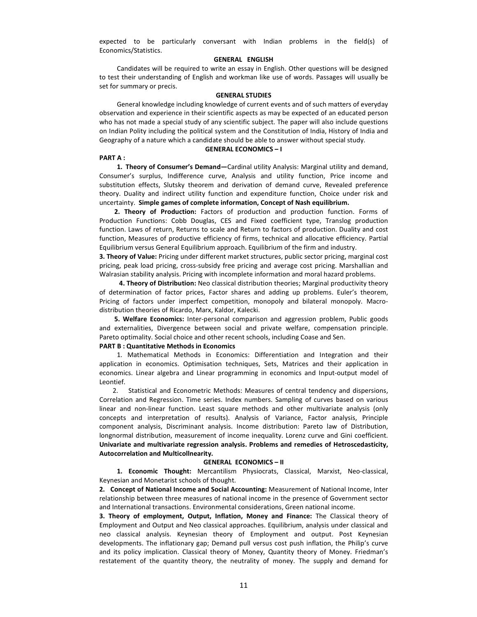expected to be particularly conversant with Indian problems in the field(s) of Economics/Statistics.

### **GENERAL ENGLISH**

 Candidates will be required to write an essay in English. Other questions will be designed to test their understanding of English and workman like use of words. Passages will usually be set for summary or precis.

### **GENERAL STUDIES**

General knowledge including knowledge of current events and of such matters of everyday observation and experience in their scientific aspects as may be expected of an educated person who has not made a special study of any scientific subject. The paper will also include questions on Indian Polity including the political system and the Constitution of India, History of India and Geography of a nature which a candidate should be able to answer without special study.

#### **GENERAL ECONOMICS – I**

#### **PART A :**

 **1. Theory of Consumer's Demand—**Cardinal utility Analysis: Marginal utility and demand, Consumer's surplus, Indifference curve, Analysis and utility function, Price income and substitution effects, Slutsky theorem and derivation of demand curve, Revealed preference theory. Duality and indirect utility function and expenditure function, Choice under risk and uncertainty. **Simple games of complete information, Concept of Nash equilibrium.**

 **2. Theory of Production:** Factors of production and production function. Forms of Production Functions: Cobb Douglas, CES and Fixed coefficient type, Translog production function. Laws of return, Returns to scale and Return to factors of production. Duality and cost function, Measures of productive efficiency of firms, technical and allocative efficiency. Partial Equilibrium versus General Equilibrium approach. Equilibrium of the firm and industry.

**3. Theory of Value:** Pricing under different market structures, public sector pricing, marginal cost pricing, peak load pricing, cross-subsidy free pricing and average cost pricing. Marshallian and Walrasian stability analysis. Pricing with incomplete information and moral hazard problems.

 **4. Theory of Distribution:** Neo classical distribution theories; Marginal productivity theory of determination of factor prices, Factor shares and adding up problems. Euler's theorem, Pricing of factors under imperfect competition, monopoly and bilateral monopoly. Macrodistribution theories of Ricardo, Marx, Kaldor, Kalecki.

 **5. Welfare Economics:** Inter-personal comparison and aggression problem, Public goods and externalities, Divergence between social and private welfare, compensation principle. Pareto optimality. Social choice and other recent schools, including Coase and Sen.

### **PART B : Quantitative Methods in Economics**

1. Mathematical Methods in Economics: Differentiation and Integration and their application in economics. Optimisation techniques, Sets, Matrices and their application in economics. Linear algebra and Linear programming in economics and Input-output model of Leontief.

 2. Statistical and Econometric Methods: Measures of central tendency and dispersions, Correlation and Regression. Time series. Index numbers. Sampling of curves based on various linear and non-linear function. Least square methods and other multivariate analysis (only concepts and interpretation of results). Analysis of Variance, Factor analysis, Principle component analysis, Discriminant analysis. Income distribution: Pareto law of Distribution, longnormal distribution, measurement of income inequality. Lorenz curve and Gini coefficient. **Univariate and multivariate regression analysis. Problems and remedies of Hetroscedasticity, Autocorrelation and Multicollnearity.**

### **GENERAL ECONOMICS – II**

 **1. Economic Thought:** Mercantilism Physiocrats, Classical, Marxist, Neo-classical, Keynesian and Monetarist schools of thought.

**2. Concept of National Income and Social Accounting:** Measurement of National Income, Inter relationship between three measures of national income in the presence of Government sector and International transactions. Environmental considerations, Green national income.

**3. Theory of employment, Output, Inflation, Money and Finance:** The Classical theory of Employment and Output and Neo classical approaches. Equilibrium, analysis under classical and neo classical analysis. Keynesian theory of Employment and output. Post Keynesian developments. The inflationary gap; Demand pull versus cost push inflation, the Philip's curve and its policy implication. Classical theory of Money, Quantity theory of Money. Friedman's restatement of the quantity theory, the neutrality of money. The supply and demand for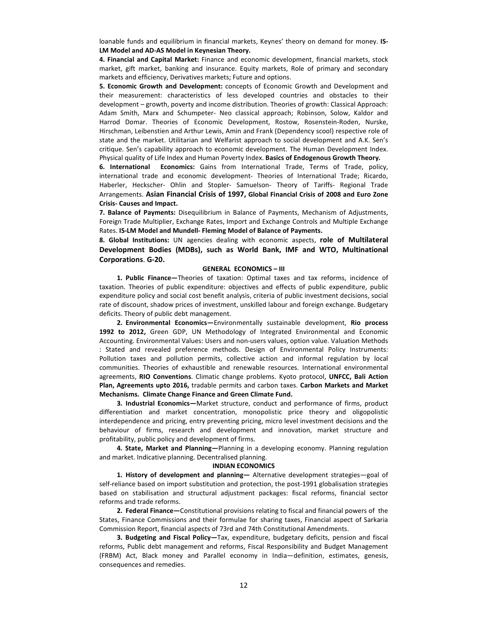loanable funds and equilibrium in financial markets, Keynes' theory on demand for money. **IS-LM Model and AD-AS Model in Keynesian Theory.**

**4. Financial and Capital Market:** Finance and economic development, financial markets, stock market, gift market, banking and insurance. Equity markets, Role of primary and secondary markets and efficiency, Derivatives markets; Future and options.

**5. Economic Growth and Development:** concepts of Economic Growth and Development and their measurement: characteristics of less developed countries and obstacles to their development – growth, poverty and income distribution. Theories of growth: Classical Approach: Adam Smith, Marx and Schumpeter- Neo classical approach; Robinson, Solow, Kaldor and Harrod Domar. Theories of Economic Development, Rostow, Rosenstein-Roden, Nurske, Hirschman, Leibenstien and Arthur Lewis, Amin and Frank (Dependency scool) respective role of state and the market. Utilitarian and Welfarist approach to social development and A.K. Sen's critique. Sen's capability approach to economic development. The Human Development Index. Physical quality of Life Index and Human Poverty Index. **Basics of Endogenous Growth Theory.**

**6. International Economics:** Gains from International Trade, Terms of Trade, policy, international trade and economic development- Theories of International Trade; Ricardo, Haberler, Heckscher- Ohlin and Stopler- Samuelson- Theory of Tariffs- Regional Trade Arrangements. **Asian Financial Crisis of 1997, Global Financial Crisis of 2008 and Euro Zone Crisis- Causes and Impact.**

**7. Balance of Payments:** Disequilibrium in Balance of Payments, Mechanism of Adjustments, Foreign Trade Multiplier, Exchange Rates, Import and Exchange Controls and Multiple Exchange Rates. **IS-LM Model and Mundell- Fleming Model of Balance of Payments.** 

**8. Global Institutions:** UN agencies dealing with economic aspects, **role of Multilateral Development Bodies (MDBs), such as World Bank, IMF and WTO, Multinational Corporations**. **G-20.**

#### **GENERAL ECONOMICS – III**

 **1. Public Finance—**Theories of taxation: Optimal taxes and tax reforms, incidence of taxation. Theories of public expenditure: objectives and effects of public expenditure, public expenditure policy and social cost benefit analysis, criteria of public investment decisions, social rate of discount, shadow prices of investment, unskilled labour and foreign exchange. Budgetary deficits. Theory of public debt management.

 **2. Environmental Economics—**Environmentally sustainable development, **Rio process 1992 to 2012,** Green GDP, UN Methodology of Integrated Environmental and Economic Accounting. Environmental Values: Users and non-users values, option value. Valuation Methods : Stated and revealed preference methods. Design of Environmental Policy Instruments: Pollution taxes and pollution permits, collective action and informal regulation by local communities. Theories of exhaustible and renewable resources. International environmental agreements, **RIO Conventions**. Climatic change problems. Kyoto protocol, **UNFCC, Bali Action Plan, Agreements upto 2016,** tradable permits and carbon taxes. **Carbon Markets and Market Mechanisms. Climate Change Finance and Green Climate Fund.**

 **3. Industrial Economics—**Market structure, conduct and performance of firms, product differentiation and market concentration, monopolistic price theory and oligopolistic interdependence and pricing, entry preventing pricing, micro level investment decisions and the behaviour of firms, research and development and innovation, market structure and profitability, public policy and development of firms.

 **4. State, Market and Planning—**Planning in a developing economy. Planning regulation and market. Indicative planning. Decentralised planning.

#### **INDIAN ECONOMICS**

 **1. History of development and planning—** Alternative development strategies—goal of self-reliance based on import substitution and protection, the post-1991 globalisation strategies based on stabilisation and structural adjustment packages: fiscal reforms, financial sector reforms and trade reforms.

 **2. Federal Finance—**Constitutional provisions relating to fiscal and financial powers of the States, Finance Commissions and their formulae for sharing taxes, Financial aspect of Sarkaria Commission Report, financial aspects of 73rd and 74th Constitutional Amendments.

 **3. Budgeting and Fiscal Policy—**Tax, expenditure, budgetary deficits, pension and fiscal reforms, Public debt management and reforms, Fiscal Responsibility and Budget Management (FRBM) Act, Black money and Parallel economy in India—definition, estimates, genesis, consequences and remedies.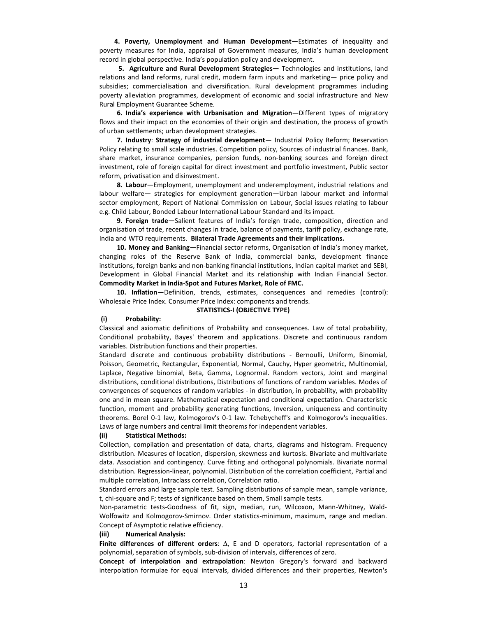**4. Poverty, Unemployment and Human Development—**Estimates of inequality and poverty measures for India, appraisal of Government measures, India's human development record in global perspective. India's population policy and development.

 **5. Agriculture and Rural Development Strategies—** Technologies and institutions, land relations and land reforms, rural credit, modern farm inputs and marketing— price policy and subsidies; commercialisation and diversification. Rural development programmes including poverty alleviation programmes, development of economic and social infrastructure and New Rural Employment Guarantee Scheme.

 **6. India's experience with Urbanisation and Migration—**Different types of migratory flows and their impact on the economies of their origin and destination, the process of growth of urban settlements; urban development strategies.

**7. Industry**: **Strategy of industrial development**— Industrial Policy Reform; Reservation Policy relating to small scale industries. Competition policy, Sources of industrial finances. Bank, share market, insurance companies, pension funds, non-banking sources and foreign direct investment, role of foreign capital for direct investment and portfolio investment, Public sector reform, privatisation and disinvestment.

**8. Labour**—Employment, unemployment and underemployment, industrial relations and labour welfare— strategies for employment generation—Urban labour market and informal sector employment, Report of National Commission on Labour, Social issues relating to labour e.g. Child Labour, Bonded Labour International Labour Standard and its impact.

 **9. Foreign trade—**Salient features of India's foreign trade, composition, direction and organisation of trade, recent changes in trade, balance of payments, tariff policy, exchange rate, India and WTO requirements. **Bilateral Trade Agreements and their implications.**

 **10. Money and Banking—**Financial sector reforms, Organisation of India's money market, changing roles of the Reserve Bank of India, commercial banks, development finance institutions, foreign banks and non-banking financial institutions, Indian capital market and SEBI, Development in Global Financial Market and its relationship with Indian Financial Sector. **Commodity Market in India-Spot and Futures Market, Role of FMC.**

 **10. Inflation—**Definition, trends, estimates, consequences and remedies (control): Wholesale Price Index. Consumer Price Index: components and trends.

#### **STATISTICS-I (OBJECTIVE TYPE)**

#### **(i) Probability:**

Classical and axiomatic definitions of Probability and consequences. Law of total probability, Conditional probability, Bayes' theorem and applications. Discrete and continuous random variables. Distribution functions and their properties.

Standard discrete and continuous probability distributions - Bernoulli, Uniform, Binomial, Poisson, Geometric, Rectangular, Exponential, Normal, Cauchy, Hyper geometric, Multinomial, Laplace, Negative binomial, Beta, Gamma, Lognormal. Random vectors, Joint and marginal distributions, conditional distributions, Distributions of functions of random variables. Modes of convergences of sequences of random variables - in distribution, in probability, with probability one and in mean square. Mathematical expectation and conditional expectation. Characteristic function, moment and probability generating functions, Inversion, uniqueness and continuity theorems. Borel 0-1 law, Kolmogorov's 0-1 law. Tchebycheff's and Kolmogorov's inequalities. Laws of large numbers and central limit theorems for independent variables.

#### **(ii) Statistical Methods:**

Collection, compilation and presentation of data, charts, diagrams and histogram. Frequency distribution. Measures of location, dispersion, skewness and kurtosis. Bivariate and multivariate data. Association and contingency. Curve fitting and orthogonal polynomials. Bivariate normal distribution. Regression-linear, polynomial. Distribution of the correlation coefficient, Partial and multiple correlation, Intraclass correlation, Correlation ratio.

Standard errors and large sample test. Sampling distributions of sample mean, sample variance, t, chi-square and F; tests of significance based on them, Small sample tests.

Non-parametric tests-Goodness of fit, sign, median, run, Wilcoxon, Mann-Whitney, Wald-Wolfowitz and Kolmogorov-Smirnov. Order statistics-minimum, maximum, range and median. Concept of Asymptotic relative efficiency.

#### **(iii) Numerical Analysis:**

**Finite differences of different orders**: ∆, E and D operators, factorial representation of a polynomial, separation of symbols, sub-division of intervals, differences of zero.

**Concept of interpolation and extrapolation**: Newton Gregory's forward and backward interpolation formulae for equal intervals, divided differences and their properties, Newton's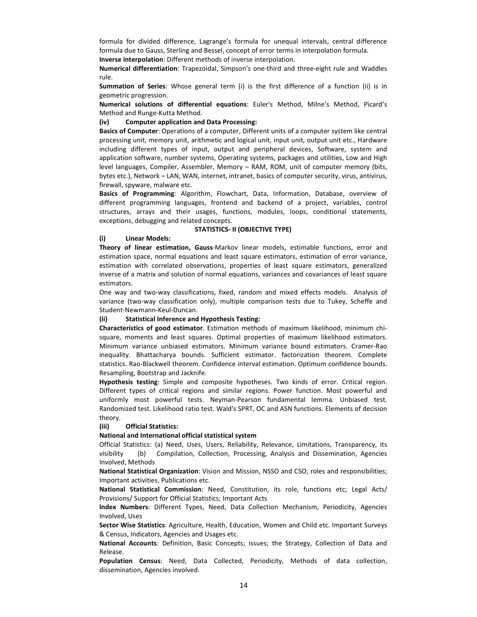formula for divided difference, Lagrange's formula for unequal intervals, central difference formula due to Gauss, Sterling and Bessel, concept of error terms in interpolation formula. **Inverse interpolation**: Different methods of inverse interpolation.

**Numerical differentiation**: Trapezoidal, Simpson's one-third and three-eight rule and Waddles rule.

**Summation of Series**: Whose general term (i) is the first difference of a function (ii) is in geometric progression.

**Numerical solutions of differential equations**: Euler's Method, Milne's Method, Picard's Method and Runge-Kutta Method.

### **(iv) Computer application and Data Processing:**

**Basics of Computer**: Operations of a computer, Different units of a computer system like central processing unit, memory unit, arithmetic and logical unit, input unit, output unit etc., Hardware including different types of input, output and peripheral devices, Software, system and application software, number systems, Operating systems, packages and utilities, Low and High level languages, Compiler, Assembler, Memory – RAM, ROM, unit of computer memory (bits, bytes etc.), Network – LAN, WAN, internet, intranet, basics of computer security, virus, antivirus, firewall, spyware, malware etc.

**Basics of Programming**: Algorithm, Flowchart, Data, Information, Database, overview of different programming languages, frontend and backend of a project, variables, control structures, arrays and their usages, functions, modules, loops, conditional statements, exceptions, debugging and related concepts.

#### **STATISTICS- II (OBJECTIVE TYPE)**

#### **(i) Linear Models:**

**Theory of linear estimation, Gauss**-Markov linear models, estimable functions, error and estimation space, normal equations and least square estimators, estimation of error variance, estimation with correlated observations, properties of least square estimators, generalized inverse of a matrix and solution of normal equations, variances and covariances of least square estimators.

One way and two-way classifications, fixed, random and mixed effects models. Analysis of variance (two-way classification only), multiple comparison tests due to Tukey, Scheffe and Student-Newmann-Keul-Duncan.

### **(ii) Statistical Inference and Hypothesis Testing:**

**Characteristics of good estimator**. Estimation methods of maximum likelihood, minimum chisquare, moments and least squares. Optimal properties of maximum likelihood estimators. Minimum variance unbiased estimators. Minimum variance bound estimators. Cramer-Rao inequality. Bhattacharya bounds. Sufficient estimator. factorization theorem. Complete statistics. Rao-Blackwell theorem. Confidence interval estimation. Optimum confidence bounds. Resampling, Bootstrap and Jacknife.

**Hypothesis testing**: Simple and composite hypotheses. Two kinds of error. Critical region. Different types of critical regions and similar regions. Power function. Most powerful and uniformly most powerful tests. Neyman-Pearson fundamental lemma. Unbiased test. Randomized test. Likelihood ratio test. Wald's SPRT, OC and ASN functions. Elements of decision theory.

### **(iii) Official Statistics:**

#### **National and International official statistical system**

Official Statistics: (a) Need, Uses, Users, Reliability, Relevance, Limitations, Transparency, its visibility (b) Compilation, Collection, Processing, Analysis and Dissemination, Agencies Involved, Methods

**National Statistical Organization**: Vision and Mission, NSSO and CSO; roles and responsibilities; Important activities, Publications etc.

**National Statistical Commission**: Need, Constitution, its role, functions etc; Legal Acts/ Provisions/ Support for Official Statistics; Important Acts

**Index Numbers**: Different Types, Need, Data Collection Mechanism, Periodicity, Agencies Involved, Uses

**Sector Wise Statistics**: Agriculture, Health, Education, Women and Child etc. Important Surveys & Census, Indicators, Agencies and Usages etc.

**National Accounts**: Definition, Basic Concepts; issues; the Strategy, Collection of Data and Release.

**Population Census**: Need, Data Collected, Periodicity, Methods of data collection, dissemination, Agencies involved.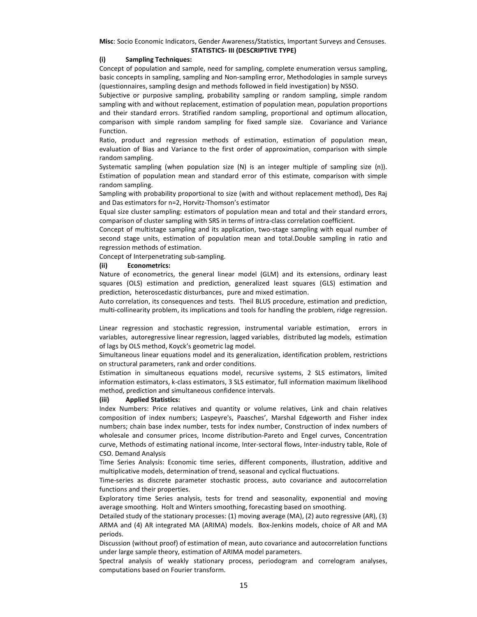**Misc**: Socio Economic Indicators, Gender Awareness/Statistics, Important Surveys and Censuses. **STATISTICS- III (DESCRIPTIVE TYPE)** 

### **(i) Sampling Techniques:**

Concept of population and sample, need for sampling, complete enumeration versus sampling, basic concepts in sampling, sampling and Non-sampling error, Methodologies in sample surveys (questionnaires, sampling design and methods followed in field investigation) by NSSO.

Subjective or purposive sampling, probability sampling or random sampling, simple random sampling with and without replacement, estimation of population mean, population proportions and their standard errors. Stratified random sampling, proportional and optimum allocation, comparison with simple random sampling for fixed sample size. Covariance and Variance Function.

Ratio, product and regression methods of estimation, estimation of population mean, evaluation of Bias and Variance to the first order of approximation, comparison with simple random sampling.

Systematic sampling (when population size (N) is an integer multiple of sampling size (n)). Estimation of population mean and standard error of this estimate, comparison with simple random sampling.

Sampling with probability proportional to size (with and without replacement method), Des Raj and Das estimators for n=2, Horvitz-Thomson's estimator

Equal size cluster sampling: estimators of population mean and total and their standard errors, comparison of cluster sampling with SRS in terms of intra-class correlation coefficient.

Concept of multistage sampling and its application, two-stage sampling with equal number of second stage units, estimation of population mean and total.Double sampling in ratio and regression methods of estimation.

Concept of Interpenetrating sub-sampling.

### **(ii) Econometrics:**

Nature of econometrics, the general linear model (GLM) and its extensions, ordinary least squares (OLS) estimation and prediction, generalized least squares (GLS) estimation and prediction, heteroscedastic disturbances, pure and mixed estimation.

Auto correlation, its consequences and tests. Theil BLUS procedure, estimation and prediction, multi-collinearity problem, its implications and tools for handling the problem, ridge regression.

Linear regression and stochastic regression, instrumental variable estimation, errors in variables, autoregressive linear regression, lagged variables, distributed lag models, estimation of lags by OLS method, Koyck's geometric lag model.

Simultaneous linear equations model and its generalization, identification problem, restrictions on structural parameters, rank and order conditions.

Estimation in simultaneous equations model, recursive systems, 2 SLS estimators, limited information estimators, k-class estimators, 3 SLS estimator, full information maximum likelihood method, prediction and simultaneous confidence intervals.

### **(iii) Applied Statistics:**

Index Numbers: Price relatives and quantity or volume relatives, Link and chain relatives composition of index numbers; Laspeyre's, Paasches', Marshal Edgeworth and Fisher index numbers; chain base index number, tests for index number, Construction of index numbers of wholesale and consumer prices, Income distribution-Pareto and Engel curves, Concentration curve, Methods of estimating national income, Inter-sectoral flows, Inter-industry table, Role of CSO. Demand Analysis

Time Series Analysis: Economic time series, different components, illustration, additive and multiplicative models, determination of trend, seasonal and cyclical fluctuations.

Time-series as discrete parameter stochastic process, auto covariance and autocorrelation functions and their properties.

Exploratory time Series analysis, tests for trend and seasonality, exponential and moving average smoothing. Holt and Winters smoothing, forecasting based on smoothing.

Detailed study of the stationary processes: (1) moving average (MA), (2) auto regressive (AR), (3) ARMA and (4) AR integrated MA (ARIMA) models. Box-Jenkins models, choice of AR and MA periods.

Discussion (without proof) of estimation of mean, auto covariance and autocorrelation functions under large sample theory, estimation of ARIMA model parameters.

Spectral analysis of weakly stationary process, periodogram and correlogram analyses, computations based on Fourier transform.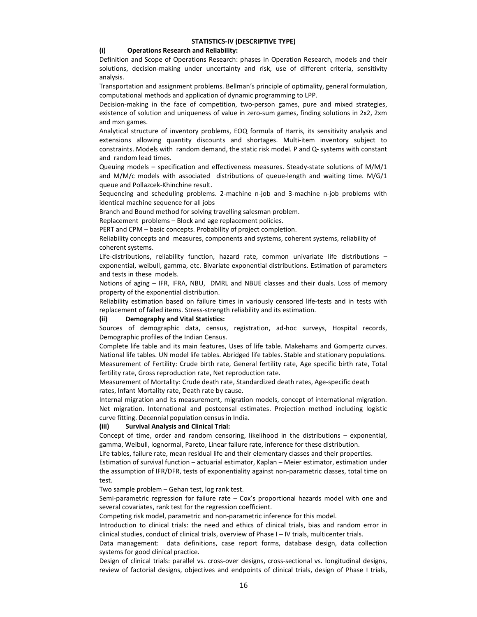### **(i) Operations Research and Reliability:**

Definition and Scope of Operations Research: phases in Operation Research, models and their solutions, decision-making under uncertainty and risk, use of different criteria, sensitivity analysis.

Transportation and assignment problems. Bellman's principle of optimality, general formulation, computational methods and application of dynamic programming to LPP.

Decision-making in the face of competition, two-person games, pure and mixed strategies, existence of solution and uniqueness of value in zero-sum games, finding solutions in 2x2, 2xm and mxn games.

Analytical structure of inventory problems, EOQ formula of Harris, its sensitivity analysis and extensions allowing quantity discounts and shortages. Multi-item inventory subject to constraints. Models with random demand, the static risk model. P and Q- systems with constant and random lead times.

Queuing models – specification and effectiveness measures. Steady-state solutions of M/M/1 and M/M/c models with associated distributions of queue-length and waiting time. M/G/1 queue and Pollazcek-Khinchine result.

Sequencing and scheduling problems. 2-machine n-job and 3-machine n-job problems with identical machine sequence for all jobs

Branch and Bound method for solving travelling salesman problem.

Replacement problems – Block and age replacement policies.

PERT and CPM – basic concepts. Probability of project completion.

Reliability concepts and measures, components and systems, coherent systems, reliability of coherent systems.

Life-distributions, reliability function, hazard rate, common univariate life distributions – exponential, weibull, gamma, etc. Bivariate exponential distributions. Estimation of parameters and tests in these models.

Notions of aging – IFR, IFRA, NBU, DMRL and NBUE classes and their duals. Loss of memory property of the exponential distribution.

Reliability estimation based on failure times in variously censored life-tests and in tests with replacement of failed items. Stress-strength reliability and its estimation.

#### **(ii) Demography and Vital Statistics:**

Sources of demographic data, census, registration, ad-hoc surveys, Hospital records, Demographic profiles of the Indian Census.

Complete life table and its main features, Uses of life table. Makehams and Gompertz curves. National life tables. UN model life tables. Abridged life tables. Stable and stationary populations. Measurement of Fertility: Crude birth rate, General fertility rate, Age specific birth rate, Total fertility rate, Gross reproduction rate, Net reproduction rate.

Measurement of Mortality: Crude death rate, Standardized death rates, Age-specific death rates, Infant Mortality rate, Death rate by cause.

Internal migration and its measurement, migration models, concept of international migration. Net migration. International and postcensal estimates. Projection method including logistic curve fitting. Decennial population census in India.

### **(iii) Survival Analysis and Clinical Trial:**

Concept of time, order and random censoring, likelihood in the distributions – exponential, gamma, Weibull, lognormal, Pareto, Linear failure rate, inference for these distribution.

Life tables, failure rate, mean residual life and their elementary classes and their properties.

Estimation of survival function – actuarial estimator, Kaplan – Meier estimator, estimation under the assumption of IFR/DFR, tests of exponentiality against non-parametric classes, total time on test.

Two sample problem – Gehan test, log rank test.

Semi-parametric regression for failure rate – Cox's proportional hazards model with one and several covariates, rank test for the regression coefficient.

Competing risk model, parametric and non-parametric inference for this model.

Introduction to clinical trials: the need and ethics of clinical trials, bias and random error in clinical studies, conduct of clinical trials, overview of Phase I – IV trials, multicenter trials.

Data management: data definitions, case report forms, database design, data collection systems for good clinical practice.

Design of clinical trials: parallel vs. cross-over designs, cross-sectional vs. longitudinal designs, review of factorial designs, objectives and endpoints of clinical trials, design of Phase I trials,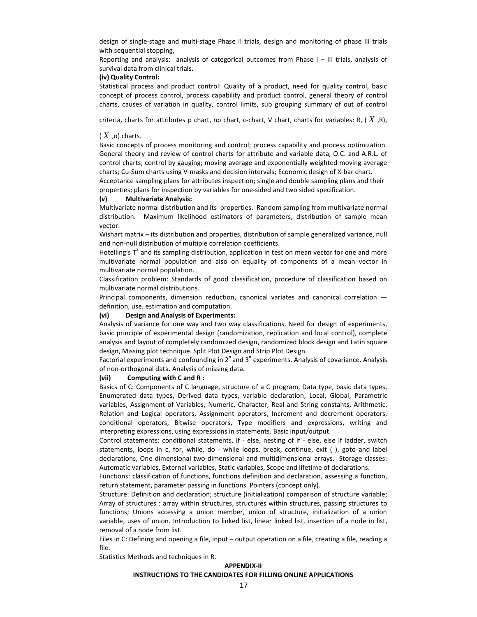design of single-stage and multi-stage Phase II trials, design and monitoring of phase III trials with sequential stopping,

Reporting and analysis: analysis of categorical outcomes from Phase I – III trials, analysis of survival data from clinical trials.

### **(iv) Quality Control:**

Statistical process and product control: Quality of a product, need for quality control, basic concept of process control, process capability and product control, general theory of control charts, causes of variation in quality, control limits, sub grouping summary of out of control

criteria, charts for attributes p chart, np chart, c-chart, V chart, charts for variables: R, ( *X* ,R),

−

# ( *X* ,σ) charts.

−

Basic concepts of process monitoring and control; process capability and process optimization. General theory and review of control charts for attribute and variable data; O.C. and A.R.L. of control charts; control by gauging; moving average and exponentially weighted moving average charts; Cu-Sum charts using V-masks and decision intervals; Economic design of X-bar chart.

Acceptance sampling plans for attributes inspection; single and double sampling plans and their properties; plans for inspection by variables for one-sided and two sided specification.

#### **(v) Multivariate Analysis:**

Multivariate normal distribution and its properties. Random sampling from multivariate normal distribution. Maximum likelihood estimators of parameters, distribution of sample mean vector.

Wishart matrix – its distribution and properties, distribution of sample generalized variance, null and non-null distribution of multiple correlation coefficients.

Hotelling's  $T^2$  and its sampling distribution, application in test on mean vector for one and more multivariate normal population and also on equality of components of a mean vector in multivariate normal population.

Classification problem: Standards of good classification, procedure of classification based on multivariate normal distributions.

Principal components, dimension reduction, canonical variates and canonical correlation definition, use, estimation and computation.

#### **(vi) Design and Analysis of Experiments:**

Analysis of variance for one way and two way classifications, Need for design of experiments, basic principle of experimental design (randomization, replication and local control), complete analysis and layout of completely randomized design, randomized block design and Latin square design, Missing plot technique. Split Plot Design and Strip Plot Design.

Factorial experiments and confounding in  $2^n$  and  $3^n$  experiments. Analysis of covariance. Analysis of non-orthogonal data. Analysis of missing data.

#### **(vii) Computing with C and R :**

Basics of C: Components of C language, structure of a C program, Data type, basic data types, Enumerated data types, Derived data types, variable declaration, Local, Global, Parametric variables, Assignment of Variables, Numeric, Character, Real and String constants, Arithmetic, Relation and Logical operators, Assignment operators, Increment and decrement operators, conditional operators, Bitwise operators, Type modifiers and expressions, writing and interpreting expressions, using expressions in statements. Basic input/output.

Control statements: conditional statements, if - else, nesting of if - else, else if ladder, switch statements, loops in c, for, while, do - while loops, break, continue, exit ( ), goto and label declarations, One dimensional two dimensional and multidimensional arrays. Storage classes: Automatic variables, External variables, Static variables, Scope and lifetime of declarations.

Functions: classification of functions, functions definition and declaration, assessing a function, return statement, parameter passing in functions. Pointers (concept only).

Structure: Definition and declaration; structure (initialization) comparison of structure variable; Array of structures : array within structures, structures within structures, passing structures to functions; Unions accessing a union member, union of structure, initialization of a union variable, uses of union. Introduction to linked list, linear linked list, insertion of a node in list, removal of a node from list.

Files in C: Defining and opening a file, input – output operation on a file, creating a file, reading a file.

Statistics Methods and techniques in R.

#### **APPENDIX-II**

### **INSTRUCTIONS TO THE CANDIDATES FOR FILLING ONLINE APPLICATIONS**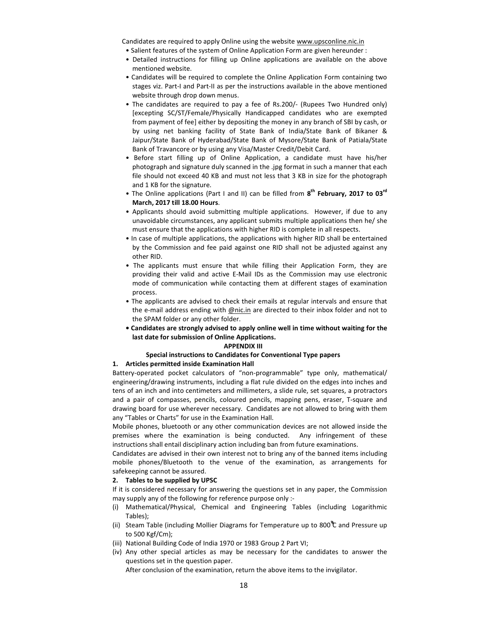Candidates are required to apply Online using the website www.upsconline.nic.in

- Salient features of the system of Online Application Form are given hereunder :
- Detailed instructions for filling up Online applications are available on the above mentioned website.
- Candidates will be required to complete the Online Application Form containing two stages viz. Part-I and Part-II as per the instructions available in the above mentioned website through drop down menus.
- The candidates are required to pay a fee of Rs.200/- (Rupees Two Hundred only) [excepting SC/ST/Female/Physically Handicapped candidates who are exempted from payment of fee] either by depositing the money in any branch of SBI by cash, or by using net banking facility of State Bank of India/State Bank of Bikaner & Jaipur/State Bank of Hyderabad/State Bank of Mysore/State Bank of Patiala/State Bank of Travancore or by using any Visa/Master Credit/Debit Card.
- Before start filling up of Online Application, a candidate must have his/her photograph and signature duly scanned in the .jpg format in such a manner that each file should not exceed 40 KB and must not less that 3 KB in size for the photograph and 1 KB for the signature.
- The Online applications (Part I and II) can be filled from **8 th February, 2017 to 03rd March, 2017 till 18.00 Hours**.
- Applicants should avoid submitting multiple applications. However, if due to any unavoidable circumstances, any applicant submits multiple applications then he/ she must ensure that the applications with higher RID is complete in all respects.
- In case of multiple applications, the applications with higher RID shall be entertained by the Commission and fee paid against one RID shall not be adjusted against any other RID.
- The applicants must ensure that while filling their Application Form, they are providing their valid and active E-Mail IDs as the Commission may use electronic mode of communication while contacting them at different stages of examination process.
- The applicants are advised to check their emails at regular intervals and ensure that the e-mail address ending with @nic.in are directed to their inbox folder and not to the SPAM folder or any other folder.
- **Candidates are strongly advised to apply online well in time without waiting for the last date for submission of Online Applications.**

### **APPENDIX III**

#### **Special instructions to Candidates for Conventional Type papers**

### **1. Articles permitted inside Examination Hall**

Battery-operated pocket calculators of "non-programmable" type only, mathematical/ engineering/drawing instruments, including a flat rule divided on the edges into inches and tens of an inch and into centimeters and millimeters, a slide rule, set squares, a protractors and a pair of compasses, pencils, coloured pencils, mapping pens, eraser, T-square and drawing board for use wherever necessary. Candidates are not allowed to bring with them any "Tables or Charts" for use in the Examination Hall.

Mobile phones, bluetooth or any other communication devices are not allowed inside the premises where the examination is being conducted. Any infringement of these instructions shall entail disciplinary action including ban from future examinations.

Candidates are advised in their own interest not to bring any of the banned items including mobile phones/Bluetooth to the venue of the examination, as arrangements for safekeeping cannot be assured.

### **2. Tables to be supplied by UPSC**

If it is considered necessary for answering the questions set in any paper, the Commission may supply any of the following for reference purpose only :-

- (i) Mathematical/Physical, Chemical and Engineering Tables (including Logarithmic Tables);
- (ii) Steam Table (including Mollier Diagrams for Temperature up to 800 **<sup>º</sup> ºº** C and Pressure up to 500 Kgf/Cm);
- (iii) National Building Code of India 1970 or 1983 Group 2 Part VI;
- (iv) Any other special articles as may be necessary for the candidates to answer the questions set in the question paper.

After conclusion of the examination, return the above items to the invigilator.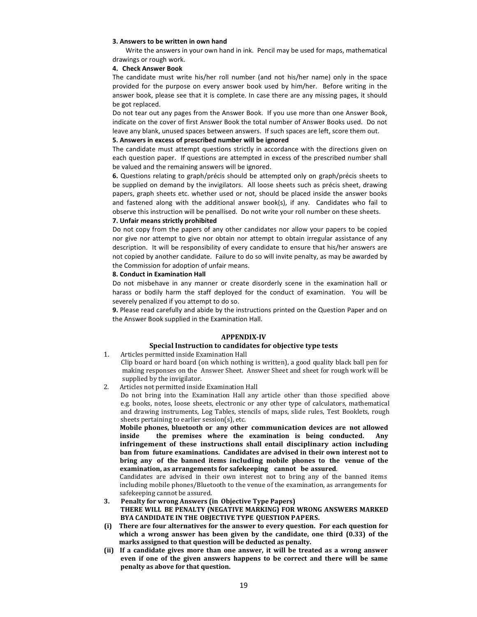#### **3. Answers to be written in own hand**

Write the answers in your own hand in ink. Pencil may be used for maps, mathematical drawings or rough work.

#### **4. Check Answer Book**

The candidate must write his/her roll number (and not his/her name) only in the space provided for the purpose on every answer book used by him/her. Before writing in the answer book, please see that it is complete. In case there are any missing pages, it should be got replaced.

Do not tear out any pages from the Answer Book. If you use more than one Answer Book, indicate on the cover of first Answer Book the total number of Answer Books used. Do not leave any blank, unused spaces between answers. If such spaces are left, score them out.

### **5. Answers in excess of prescribed number will be ignored**

The candidate must attempt questions strictly in accordance with the directions given on each question paper. If questions are attempted in excess of the prescribed number shall be valued and the remaining answers will be ignored.

**6.** Questions relating to graph/précis should be attempted only on graph/précis sheets to be supplied on demand by the invigilators. All loose sheets such as précis sheet, drawing papers, graph sheets etc. whether used or not, should be placed inside the answer books and fastened along with the additional answer book(s), if any. Candidates who fail to observe this instruction will be penallised. Do not write your roll number on these sheets.

### **7. Unfair means strictly prohibited**

Do not copy from the papers of any other candidates nor allow your papers to be copied nor give nor attempt to give nor obtain nor attempt to obtain irregular assistance of any description. It will be responsibility of every candidate to ensure that his/her answers are not copied by another candidate. Failure to do so will invite penalty, as may be awarded by the Commission for adoption of unfair means.

### **8. Conduct in Examination Hall**

Do not misbehave in any manner or create disorderly scene in the examination hall or harass or bodily harm the staff deployed for the conduct of examination. You will be severely penalized if you attempt to do so.

**9.** Please read carefully and abide by the instructions printed on the Question Paper and on the Answer Book supplied in the Examination Hall.

### **APPENDIX-IV**

# **Special Instruction to candidates for objective type tests**

- 1. Articles permitted inside Examination Hall
	- Clip board or hard board (on which nothing is written), a good quality black ball pen for making responses on the Answer Sheet. Answer Sheet and sheet for rough work will be supplied by the invigilator.
- 2. Articles not permitted inside Examination Hall

Do not bring into the Examination Hall any article other than those specified above e.g. books, notes, loose sheets, electronic or any other type of calculators, mathematical and drawing instruments, Log Tables, stencils of maps, slide rules, Test Booklets, rough sheets pertaining to earlier session(s), etc.

**Mobile phones, bluetooth or any other communication devices are not allowed inside the premises where the examination is being conducted. Any infringement of these instructions shall entail disciplinary action including ban from future examinations. Candidates are advised in their own interest not to bring any of the banned items including mobile phones to the venue of the examination, as arrangements for safekeeping cannot be assured**.

Candidates are advised in their own interest not to bring any of the banned items including mobile phones/Bluetooth to the venue of the examination, as arrangements for safekeeping cannot be assured.

### **3. Penalty for wrong Answers (in Objective Type Papers)**

**THERE WILL BE PENALTY (NEGATIVE MARKING) FOR WRONG ANSWERS MARKED BYA CANDIDATE IN THE OBJECTIVE TYPE QUESTION PAPERS.** 

- **(i) There are four alternatives for the answer to every question. For each question for which a wrong answer has been given by the candidate, one third (0.33) of the marks assigned to that question will be deducted as penalty.**
- **(ii) If a candidate gives more than one answer, it will be treated as a wrong answer even if one of the given answers happens to be correct and there will be same penalty as above for that question.**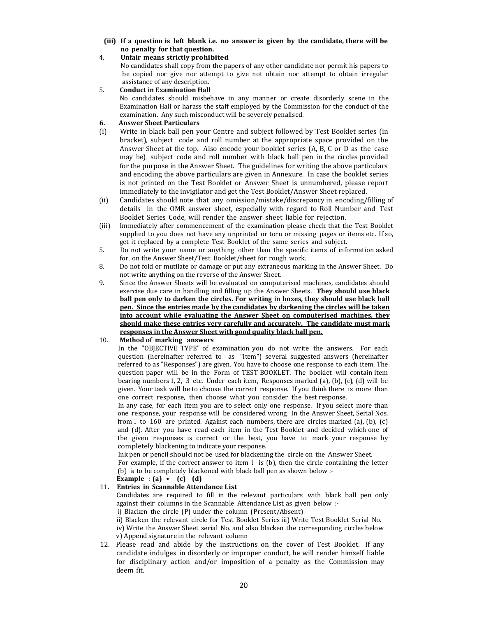**(iii) If a question is left blank i.e. no answer is given by the candidate, there will be no penalty for that question.** 

### 4. **Unfair means strictly prohibited**

 No candidates shall copy from the papers of any other candidate nor permit his papers to be copied nor give nor attempt to give not obtain nor attempt to obtain irregular assistance of any description.

### 5. **Conduct in Examination Hall**

No candidates should misbehave in any manner or create disorderly scene in the Examination Hall or harass the staff employed by the Commission for the conduct of the examination. Any such misconduct will be severely penalised.

## **6. Answer Sheet Particulars**

- (i) Write in black ball pen your Centre and subject followed by Test Booklet series (in bracket), subject code and roll number at the appropriate space provided on the Answer Sheet at the top. Also encode your booklet series (A, B, C or D as the case may be), subject code and roll number with black ball pen in the circles provided for the purpose in the Answer Sheet. The guidelines for writing the above particulars and encoding the above particulars are given in Annexure. In case the booklet series is not printed on the Test Booklet or Answer Sheet is unnumbered, please report immediately to the invigilator and get the Test Booklet/Answer Sheet replaced.
- (ii) Candidates should note that any omission/mistake/discrepancy in encoding/filling of details in the OMR answer sheet, especially with regard to Roll Number and Test Booklet Series Code, will render the answer sheet liable for rejection.
- (iii) Immediately after commencement of the examination please check that the Test Booklet supplied to you does not have any unprinted or torn or missing pages or items etc. If so, get it replaced by a complete Test Booklet of the same series and subject.
- 5. Do not write your name or anything other than the specific items of information asked for, on the Answer Sheet/Test Booklet/sheet for rough work.
- 8. Do not fold or mutilate or damage or put any extraneous marking in the Answer Sheet. Do not write anything on the reverse of the Answer Sheet.
- 9. Since the Answer Sheets will be evaluated on computerised machines, candidates should exercise due care in handling and filling up the Answer Sheets. **They should use black ball pen only to darken the circles. For writing in boxes, they should use black ball pen. Since the entries made by the candidates by darkening the circles will be taken into account while evaluating the Answer Sheet on computerised machines, they should make these entries very carefully and accurately. The candidate must mark responses in the Answer Sheet with good quality black ball pen.**

### 10. **Method of marking answers**

In the "OBJECTIVE TYPE" of examination, you do not write the answers. For each question (hereinafter referred to as "Item") several suggested answers (hereinafter referred to as "Responses") are given. You have to choose one response to each item. The question paper will be in the Form of TEST BOOKLET. The booklet will contain item bearing numbers 1, 2, 3 etc. Under each item, Responses marked (a), (b), (c), (d) will be given. Your task will be to choose the correct response. If you think there is more than one correct response, then choose what you consider the best response.

In any case, for each item you are to select only one response. If you select more than one response, your response will be considered wrong. In the Answer Sheet, Serial Nos. from 1 to 160 are printed. Against each numbers, there are circles marked (a), (b), (c) and (d). After you have read each item in the Test Booklet and decided which one of the given responses is correct or the best, you have to mark your response by completely blackening to indicate your response.

Ink pen or pencil should not be used for blackening the circle on the Answer Sheet.

For example, if the correct answer to item  $1$  is (b), then the circle containing the letter (b) is to be completely blackened with black ball pen as shown below :-

# **Example : (a) • (c) (d)**

# 11. **Entries in Scannable Attendance List**

Candidates are required to fill in the relevant particulars with black ball pen only against their columns in the Scannable Attendance List, as given below :-

i) Blacken the circle (P) under the column (Present/Absent)

ii) Blacken the relevant circle for Test Booklet Series iii) Write Test Booklet Serial No. iv) Write the Answer Sheet serial No. and also blacken the corresponding circles below

v) Append signature in the relevant column

12. Please read and abide by the instructions on the cover of Test Booklet. If any candidate indulges in disorderly or improper conduct, he will render himself liable for disciplinary action and/or imposition of a penalty as the Commission may deem fit.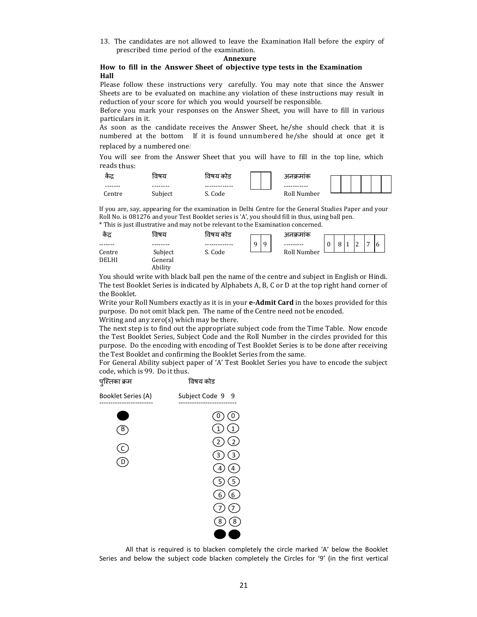13. The candidates are not allowed to leave the Examination Hall before the expiry of prescribed time period of the examination.

#### **Annexure**

### **How to fill in the Answer Sheet of objective type tests in the Examination Hall**

Please follow these instructions very carefully. You may note that since the Answer Sheets are to be evaluated on machine, any violation of these instructions may result in reduction of your score for which you would yourself be responsible.

Before you mark your responses on the Answer Sheet, you will have to fill in various particulars in it.

As soon as the candidate receives the Answer Sheet, he/she should check that it is numbered at the bottom. If it is found unnumbered he/she should at once get it replaced by a numbered one.।

You will see from the Answer Sheet that you will have to fill in the top line, which reads thus:



If you are, say, appearing for the examination in Delhi Centre for the General Studies Paper and your Roll No. is 081276 and your Test Booklet series is 'A', you should fill in thus, using ball pen. \* This is just illustrative and may not be relevant to the Examination concerned.

| कद्र         | विषय    | विषय कोड |               | अनक्रमाक    |         |                      |    |              |    |  |
|--------------|---------|----------|---------------|-------------|---------|----------------------|----|--------------|----|--|
|              |         |          | 9<br>$\Omega$ |             | $\circ$ | $\blacktriangleleft$ | l2 | $\mathbf{r}$ | ۱6 |  |
| Centre       | Subject | S. Code  |               | Roll Number |         |                      |    |              |    |  |
| <b>DELHI</b> | General |          |               |             |         |                      |    |              |    |  |
|              | Ability |          |               |             |         |                      |    |              |    |  |

You should write with black ball pen the name of the centre and subject in English or Hindi. The test Booklet Series is indicated by Alphabets A, B, C or D at the top right hand corner of the Booklet.

Write your Roll Numbers exactly as it is in your **e-Admit Card** in the boxes provided for this purpose. Do not omit black pen. The name of the Centre need not be encoded. Writing and any zero(s) which may be there.

The next step is to find out the appropriate subject code from the Time Table. Now encode the Test Booklet Series, Subject Code and the Roll Number in the circles provided for this purpose. Do the encoding with encoding of Test Booklet Series is to be done after receiving the Test Booklet and confirming the Booklet Series from the same.

For General Ability subject paper of 'A' Test Booklet Series you have to encode the subject code, which is 99. Do it thus.



All that is required is to blacken completely the circle marked 'A' below the Booklet Series and below the subject code blacken completely the Circles for '9' (in the first vertical